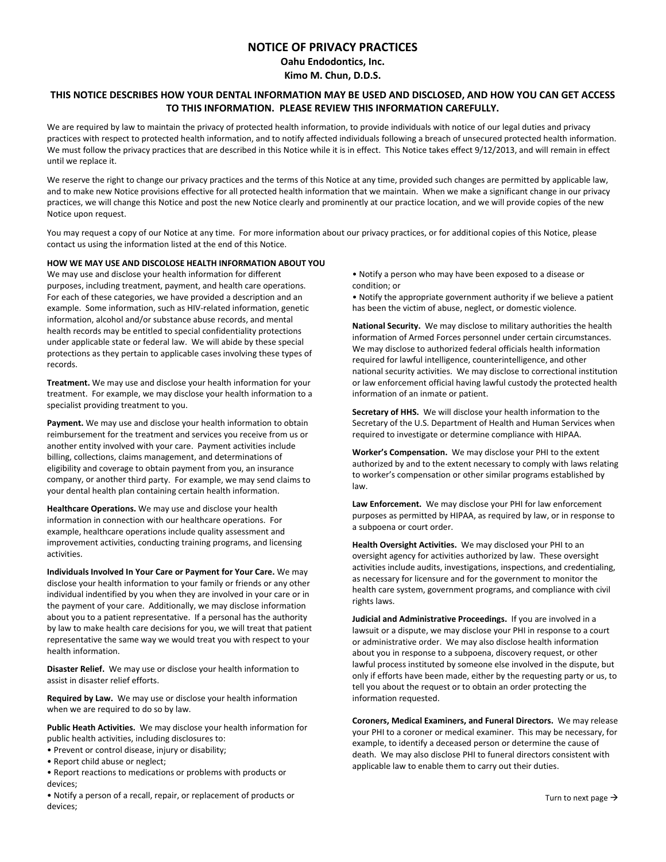# **NOTICE OF PRIVACY PRACTICES**

**Oahu Endodontics, Inc.**

**Kimo M. Chun, D.D.S.**

## THIS NOTICE DESCRIBES HOW YOUR DENTAL INFORMATION MAY BE USED AND DISCLOSED, AND HOW YOU CAN GET ACCESS **TO THIS INFORMATION. PLEASE REVIEW THIS INFORMATION CAREFULLY.**

We are required by law to maintain the privacy of protected health information, to provide individuals with notice of our legal duties and privacy practices with respect to protected health information, and to notify affected individuals following a breach of unsecured protected health information. We must follow the privacy practices that are described in this Notice while it is in effect. This Notice takes effect 9/12/2013, and will remain in effect until we replace it.

We reserve the right to change our privacy practices and the terms of this Notice at any time, provided such changes are permitted by applicable law, and to make new Notice provisions effective for all protected health information that we maintain. When we make a significant change in our privacy practices, we will change this Notice and post the new Notice clearly and prominently at our practice location, and we will provide copies of the new Notice upon request.

You may request a copy of our Notice at any time. For more information about our privacy practices, or for additional copies of this Notice, please contact us using the information listed at the end of this Notice.

## **HOW WE MAY USE AND DISCOLOSE HEALTH INFORMATION ABOUT YOU**

We may use and disclose your health information for different purposes, including treatment, payment, and health care operations. For each of these categories, we have provided a description and an example. Some information, such as HIV‐related information, genetic information, alcohol and/or substance abuse records, and mental health records may be entitled to special confidentiality protections under applicable state or federal law. We will abide by these special protections as they pertain to applicable cases involving these types of records.

**Treatment.** We may use and disclose your health information for your treatment. For example, we may disclose your health information to a specialist providing treatment to you.

Payment. We may use and disclose your health information to obtain reimbursement for the treatment and services you receive from us or another entity involved with your care. Payment activities include billing, collections, claims management, and determinations of eligibility and coverage to obtain payment from you, an insurance company, or another third party. For example, we may send claims to your dental health plan containing certain health information.

**Healthcare Operations.** We may use and disclose your health information in connection with our healthcare operations. For example, healthcare operations include quality assessment and improvement activities, conducting training programs, and licensing activities.

**Individuals Involved In Your Care or Payment for Your Care.** We may disclose your health information to your family or friends or any other individual indentified by you when they are involved in your care or in the payment of your care. Additionally, we may disclose information about you to a patient representative. If a personal has the authority by law to make health care decisions for you, we will treat that patient representative the same way we would treat you with respect to your health information.

**Disaster Relief.** We may use or disclose your health information to assist in disaster relief efforts.

**Required by Law.** We may use or disclose your health information when we are required to do so by law.

**Public Heath Activities.** We may disclose your health information for public health activities, including disclosures to:

- Prevent or control disease, injury or disability;
- Report child abuse or neglect;
- Report reactions to medications or problems with products or devices;

• Notify a person of a recall, repair, or replacement of products or devices;

• Notify a person who may have been exposed to a disease or condition; or

• Notify the appropriate government authority if we believe a patient has been the victim of abuse, neglect, or domestic violence.

**National Security.** We may disclose to military authorities the health information of Armed Forces personnel under certain circumstances. We may disclose to authorized federal officials health information required for lawful intelligence, counterintelligence, and other national security activities. We may disclose to correctional institution or law enforcement official having lawful custody the protected health information of an inmate or patient.

**Secretary of HHS.** We will disclose your health information to the Secretary of the U.S. Department of Health and Human Services when required to investigate or determine compliance with HIPAA.

**Worker's Compensation.** We may disclose your PHI to the extent authorized by and to the extent necessary to comply with laws relating to worker's compensation or other similar programs established by law.

**Law Enforcement.** We may disclose your PHI for law enforcement purposes as permitted by HIPAA, as required by law, or in response to a subpoena or court order.

**Health Oversight Activities.** We may disclosed your PHI to an oversight agency for activities authorized by law. These oversight activities include audits, investigations, inspections, and credentialing, as necessary for licensure and for the government to monitor the health care system, government programs, and compliance with civil rights laws.

**Judicial and Administrative Proceedings.** If you are involved in a lawsuit or a dispute, we may disclose your PHI in response to a court or administrative order. We may also disclose health information about you in response to a subpoena, discovery request, or other lawful process instituted by someone else involved in the dispute, but only if efforts have been made, either by the requesting party or us, to tell you about the request or to obtain an order protecting the information requested.

**Coroners, Medical Examiners, and Funeral Directors.** We may release your PHI to a coroner or medical examiner. This may be necessary, for example, to identify a deceased person or determine the cause of death. We may also disclose PHI to funeral directors consistent with applicable law to enable them to carry out their duties.